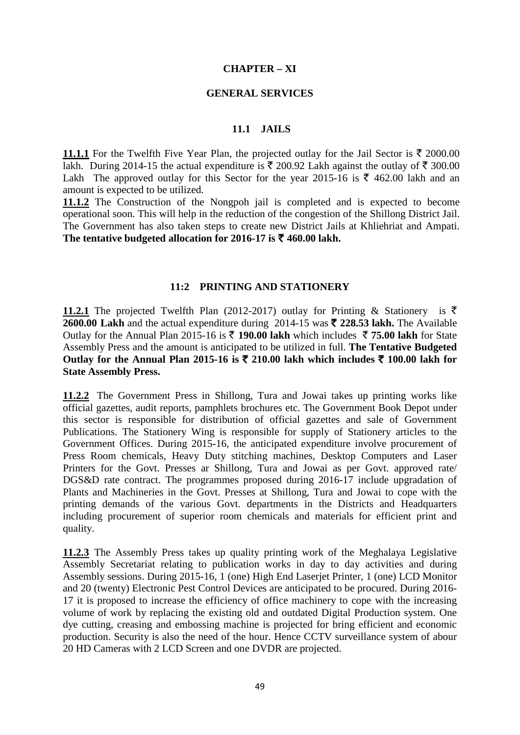#### **CHAPTER – XI**

#### **GENERAL SERVICES**

#### **11.1 JAILS**

**11.1.1** For the Twelfth Five Year Plan, the projected outlay for the Jail Sector is  $\bar{\tau}$  2000.00 lakh. During 2014-15 the actual expenditure is  $\bar{\tau}$  200.92 Lakh against the outlay of  $\bar{\tau}$  300.00 Lakh The approved outlay for this Sector for the year 2015-16 is  $\bar{\tau}$  462.00 lakh and an amount is expected to be utilized.

**11.1.2** The Construction of the Nongpoh jail is completed and is expected to become operational soon. This will help in the reduction of the congestion of the Shillong District Jail. The Government has also taken steps to create new District Jails at Khliehriat and Ampati. The tentative budgeted allocation for 2016-17 is  $\bar{\tau}$  460.00 lakh.

#### **11:2 PRINTING AND STATIONERY**

**11.2.1** The projected Twelfth Plan (2012-2017) outlay for Printing & Stationery is  $\bar{\tau}$ **2600.00 Lakh** and the actual expenditure during 2014-15 was  $\bar{\tau}$  **228.53 lakh.** The Available Outlay for the Annual Plan 2015-16 is  $\bar{\tau}$  190.00 lakh which includes  $\bar{\tau}$  75.00 lakh for State Assembly Press and the amount is anticipated to be utilized in full. **The Tentative Budgeted**  Outlay for the Annual Plan 2015-16 is  $\bar{\tau}$  210.00 lakh which includes  $\bar{\tau}$  100.00 lakh for **State Assembly Press.** 

**11.2.2** The Government Press in Shillong, Tura and Jowai takes up printing works like official gazettes, audit reports, pamphlets brochures etc. The Government Book Depot under this sector is responsible for distribution of official gazettes and sale of Government Publications. The Stationery Wing is responsible for supply of Stationery articles to the Government Offices. During 2015-16, the anticipated expenditure involve procurement of Press Room chemicals, Heavy Duty stitching machines, Desktop Computers and Laser Printers for the Govt. Presses ar Shillong, Tura and Jowai as per Govt. approved rate/ DGS&D rate contract. The programmes proposed during 2016-17 include upgradation of Plants and Machineries in the Govt. Presses at Shillong, Tura and Jowai to cope with the printing demands of the various Govt. departments in the Districts and Headquarters including procurement of superior room chemicals and materials for efficient print and quality.

**11.2.3** The Assembly Press takes up quality printing work of the Meghalaya Legislative Assembly Secretariat relating to publication works in day to day activities and during Assembly sessions. During 2015-16, 1 (one) High End Laserjet Printer, 1 (one) LCD Monitor and 20 (twenty) Electronic Pest Control Devices are anticipated to be procured. During 2016- 17 it is proposed to increase the efficiency of office machinery to cope with the increasing volume of work by replacing the existing old and outdated Digital Production system. One dye cutting, creasing and embossing machine is projected for bring efficient and economic production. Security is also the need of the hour. Hence CCTV surveillance system of abour 20 HD Cameras with 2 LCD Screen and one DVDR are projected.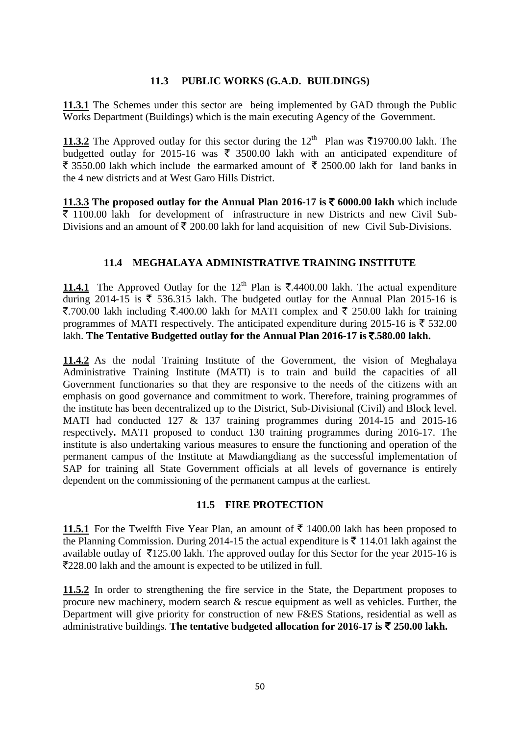#### **11.3 PUBLIC WORKS (G.A.D. BUILDINGS)**

**11.3.1** The Schemes under this sector are being implemented by GAD through the Public Works Department (Buildings) which is the main executing Agency of the Government.

**11.3.2** The Approved outlay for this sector during the  $12^{th}$  Plan was  $\bar{\xi}$ 19700.00 lakh. The budgetted outlay for 2015-16 was  $\bar{\tau}$  3500.00 lakh with an anticipated expenditure of  $\bar{\tau}$  3550.00 lakh which include the earmarked amount of  $\bar{\tau}$  2500.00 lakh for land banks in the 4 new districts and at West Garo Hills District.

**11.3.3** The proposed outlay for the Annual Plan 2016-17 is  $\bar{\tau}$  6000.00 lakh which include  $\bar{\tau}$  1100.00 lakh for development of infrastructure in new Districts and new Civil Sub-Divisions and an amount of  $\bar{\tau}$  200.00 lakh for land acquisition of new Civil Sub-Divisions.

### **11.4 MEGHALAYA ADMINISTRATIVE TRAINING INSTITUTE**

**11.4.1** The Approved Outlay for the 12<sup>th</sup> Plan is  $\bar{\mathbf{\tau}}$ .4400.00 lakh. The actual expenditure during 2014-15 is  $\overline{\xi}$  536.315 lakh. The budgeted outlay for the Annual Plan 2015-16 is ₹.700.00 lakh including ₹.400.00 lakh for MATI complex and ₹ 250.00 lakh for training programmes of MATI respectively. The anticipated expenditure during 2015-16 is  $\bar{\xi}$  532.00 lakh. **The Tentative Budgetted outlay for the Annual Plan 2016-17 is** `**.580.00 lakh.**

**11.4.2** As the nodal Training Institute of the Government, the vision of Meghalaya Administrative Training Institute (MATI) is to train and build the capacities of all Government functionaries so that they are responsive to the needs of the citizens with an emphasis on good governance and commitment to work. Therefore, training programmes of the institute has been decentralized up to the District, Sub-Divisional (Civil) and Block level. MATI had conducted 127 & 137 training programmes during 2014-15 and 2015-16 respectively**.** MATI proposed to conduct 130 training programmes during 2016-17. The institute is also undertaking various measures to ensure the functioning and operation of the permanent campus of the Institute at Mawdiangdiang as the successful implementation of SAP for training all State Government officials at all levels of governance is entirely dependent on the commissioning of the permanent campus at the earliest.

#### **11.5 FIRE PROTECTION**

**11.5.1** For the Twelfth Five Year Plan, an amount of  $\bar{\tau}$  1400.00 lakh has been proposed to the Planning Commission. During 2014-15 the actual expenditure is  $\bar{\tau}$  114.01 lakh against the available outlay of  $\bar{\tau}$ 125.00 lakh. The approved outlay for this Sector for the year 2015-16 is `228.00 lakh and the amount is expected to be utilized in full.

**11.5.2** In order to strengthening the fire service in the State, the Department proposes to procure new machinery, modern search & rescue equipment as well as vehicles. Further, the Department will give priority for construction of new F&ES Stations, residential as well as administrative buildings. The tentative budgeted allocation for 2016-17 is  $\bar{\tau}$  250.00 lakh.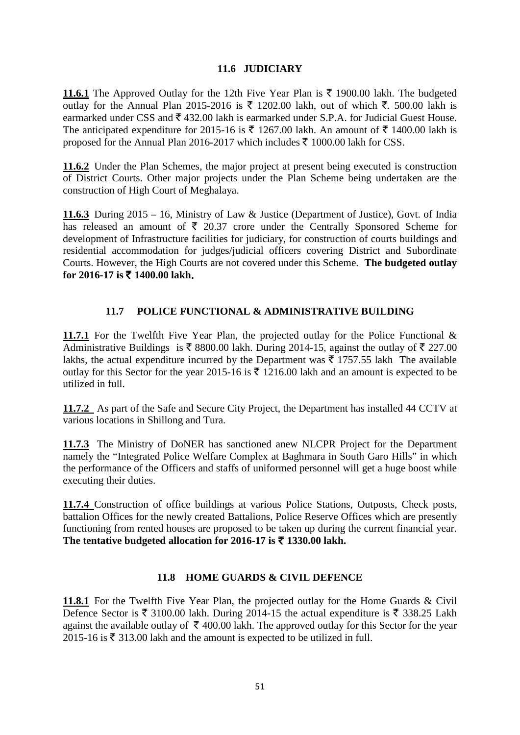### **11.6 JUDICIARY**

**11.6.1** The Approved Outlay for the 12th Five Year Plan is  $\bar{\tau}$  1900.00 lakh. The budgeted outlay for the Annual Plan 2015-2016 is  $\bar{\tau}$  1202.00 lakh, out of which  $\bar{\tau}$ . 500.00 lakh is earmarked under CSS and  $\bar{\tau}$  432.00 lakh is earmarked under S.P.A. for Judicial Guest House. The anticipated expenditure for 2015-16 is  $\bar{\tau}$  1267.00 lakh. An amount of  $\bar{\tau}$  1400.00 lakh is proposed for the Annual Plan 2016-2017 which includes  $\bar{\tau}$  1000.00 lakh for CSS.

**11.6.2** Under the Plan Schemes, the major project at present being executed is construction of District Courts. Other major projects under the Plan Scheme being undertaken are the construction of High Court of Meghalaya.

**11.6.3** During 2015 – 16, Ministry of Law & Justice (Department of Justice), Govt. of India has released an amount of  $\bar{\tau}$  20.37 crore under the Centrally Sponsored Scheme for development of Infrastructure facilities for judiciary, for construction of courts buildings and residential accommodation for judges/judicial officers covering District and Subordinate Courts. However, the High Courts are not covered under this Scheme. **The budgeted outlay for 2016-17 is** ` **1400.00 lakh**.

### **11.7 POLICE FUNCTIONAL & ADMINISTRATIVE BUILDING**

**11.7.1** For the Twelfth Five Year Plan, the projected outlay for the Police Functional & Administrative Buildings is  $\bar{\tau}$  8800.00 lakh. During 2014-15, against the outlay of  $\bar{\tau}$  227.00 lakhs, the actual expenditure incurred by the Department was  $\bar{\tau}$  1757.55 lakh The available outlay for this Sector for the year 2015-16 is  $\bar{\tau}$  1216.00 lakh and an amount is expected to be utilized in full.

**11.7.2** As part of the Safe and Secure City Project, the Department has installed 44 CCTV at various locations in Shillong and Tura.

**11.7.3** The Ministry of DoNER has sanctioned anew NLCPR Project for the Department namely the "Integrated Police Welfare Complex at Baghmara in South Garo Hills" in which the performance of the Officers and staffs of uniformed personnel will get a huge boost while executing their duties.

**11.7.4** Construction of office buildings at various Police Stations, Outposts, Check posts, battalion Offices for the newly created Battalions, Police Reserve Offices which are presently functioning from rented houses are proposed to be taken up during the current financial year. The tentative budgeted allocation for 2016-17 is  $\bar{\tau}$  1330.00 lakh.

### **11.8 HOME GUARDS & CIVIL DEFENCE**

**11.8.1** For the Twelfth Five Year Plan, the projected outlay for the Home Guards & Civil Defence Sector is ₹ 3100.00 lakh. During 2014-15 the actual expenditure is ₹ 338.25 Lakh against the available outlay of  $\bar{\tau}$  400.00 lakh. The approved outlay for this Sector for the year 2015-16 is  $\bar{\xi}$  313.00 lakh and the amount is expected to be utilized in full.